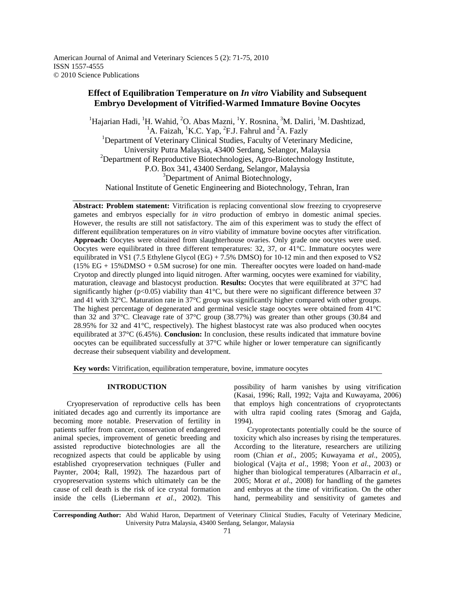# **Effect of Equilibration Temperature on** *In vitro* **Viability and Subsequent Embryo Development of Vitrified-Warmed Immature Bovine Oocytes**

<sup>1</sup>Hajarian Hadi, <sup>1</sup>H. Wahid, <sup>2</sup>O. Abas Mazni, <sup>1</sup>Y. Rosnina, <sup>3</sup>M. Daliri, <sup>1</sup>M. Dashtizad, <sup>1</sup>A. Faizah, <sup>1</sup>K.C. Yap, <sup>2</sup>F.J. Fahrul and <sup>2</sup>A. Fazly <sup>1</sup>Department of Veterinary Clinical Studies, Faculty of Veterinary Medicine, University Putra Malaysia, 43400 Serdang, Selangor, Malaysia <sup>2</sup>Department of Reproductive Biotechnologies, Agro-Biotechnology Institute, P.O. Box 341, 43400 Serdang, Selangor, Malaysia <sup>3</sup>Department of Animal Biotechnology, National Institute of Genetic Engineering and Biotechnology, Tehran, Iran

**Abstract: Problem statement:** Vitrification is replacing conventional slow freezing to cryopreserve gametes and embryos especially for *in vitro* production of embryo in domestic animal species. However, the results are still not satisfactory. The aim of this experiment was to study the effect of different equilibration temperatures on *in vitro* viability of immature bovine oocytes after vitrification. **Approach:** Oocytes were obtained from slaughterhouse ovaries. Only grade one oocytes were used. Oocytes were equilibrated in three different temperatures: 32, 37, or 41°C. Immature oocytes were equilibrated in VS1 (7.5 Ethylene Glycol (EG) + 7.5% DMSO) for 10-12 min and then exposed to VS2 (15% EG + 15%DMSO + 0.5M sucrose) for one min. Thereafter oocytes were loaded on hand-made Cryotop and directly plunged into liquid nitrogen. After warming, oocytes were examined for viability, maturation, cleavage and blastocyst production. **Results:** Oocytes that were equilibrated at 37°C had significantly higher ( $p<0.05$ ) viability than 41<sup>o</sup>C, but there were no significant difference between 37 and 41 with 32°C. Maturation rate in 37°C group was significantly higher compared with other groups. The highest percentage of degenerated and germinal vesicle stage oocytes were obtained from 41°C than 32 and 37°C. Cleavage rate of 37°C group (38.77%) was greater than other groups (30.84 and 28.95% for 32 and 41°C, respectively). The highest blastocyst rate was also produced when oocytes equilibrated at 37°C (6.45%). **Conclusion:** In conclusion, these results indicated that immature bovine oocytes can be equilibrated successfully at 37°C while higher or lower temperature can significantly decrease their subsequent viability and development.

**Key words:** Vitrification, equilibration temperature, bovine, immature oocytes

#### **INTRODUCTION**

 Cryopreservation of reproductive cells has been initiated decades ago and currently its importance are becoming more notable. Preservation of fertility in patients suffer from cancer, conservation of endangered animal species, improvement of genetic breeding and assisted reproductive biotechnologies are all the recognized aspects that could be applicable by using established cryopreservation techniques (Fuller and Paynter, 2004; Rall, 1992). The hazardous part of cryopreservation systems which ultimately can be the cause of cell death is the risk of ice crystal formation inside the cells (Liebermann *et al*., 2002). This

possibility of harm vanishes by using vitrification (Kasai, 1996; Rall, 1992; Vajta and Kuwayama, 2006) that employs high concentrations of cryoprotectants with ultra rapid cooling rates (Smorag and Gajda, 1994).

 Cryoprotectants potentially could be the source of toxicity which also increases by rising the temperatures. According to the literature, researchers are utilizing room (Chian *et al*., 2005; Kuwayama *et al*., 2005), biological (Vajta *et al*., 1998; Yoon *et al*., 2003) or higher than biological temperatures (Albarracin *et al*., 2005; Morat *et al*., 2008) for handling of the gametes and embryos at the time of vitrification. On the other hand, permeability and sensitivity of gametes and

**Corresponding Author:** Abd Wahid Haron, Department of Veterinary Clinical Studies, Faculty of Veterinary Medicine, University Putra Malaysia, 43400 Serdang, Selangor, Malaysia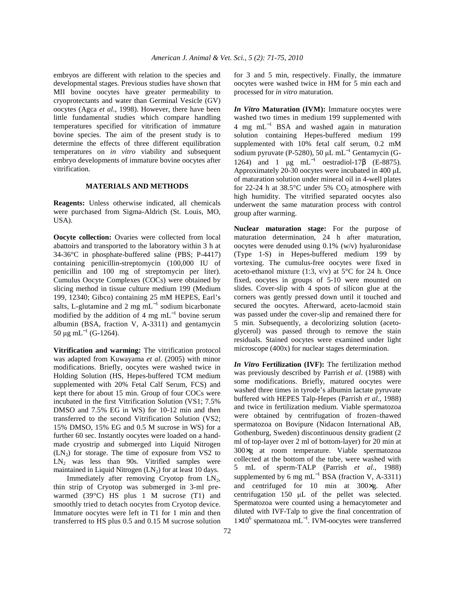embryos are different with relation to the species and developmental stages. Previous studies have shown that MII bovine oocytes have greater permeability to cryoprotectants and water than Germinal Vesicle (GV) oocytes (Agca *et al*., 1998). However, there have been little fundamental studies which compare handling temperatures specified for vitrification of immature bovine species. The aim of the present study is to determine the effects of three different equilibration temperatures on *in vitro* viability and subsequent embryo developments of immature bovine oocytes after vitrification.

#### **MATERIALS AND METHODS**

**Reagents:** Unless otherwise indicated, all chemicals were purchased from Sigma-Aldrich (St. Louis, MO, USA).

**Oocyte collection:** Ovaries were collected from local abattoirs and transported to the laboratory within 3 h at 34-36°C in phosphate-buffered saline (PBS; P-4417) containing penicillin-streptomycin (100,000 IU of penicillin and 100 mg of streptomycin per liter). Cumulus Oocyte Complexes (COCs) were obtained by slicing method in tissue culture medium 199 (Medium 199, 12340; Gibco) containing 25 mM HEPES, Earl's salts, L-glutamine and 2 mg mL<sup> $^{-1}$ </sup> sodium bicarbonate modified by the addition of 4 mg  $mL^{-1}$  bovine serum albumin (BSA, fraction V, A-3311) and gentamycin 50 μg mL<sup>-1</sup> (G-1264).

**Vitrification and warming:** The vitrification protocol was adapted from Kuwayama *et al*. (2005) with minor modifications. Briefly, oocytes were washed twice in Holding Solution (HS, Hepes-buffered TCM medium supplemented with 20% Fetal Calf Serum, FCS) and kept there for about 15 min. Group of four COCs were incubated in the first Vitrification Solution (VS1; 7.5% DMSO and 7.5% EG in WS) for 10-12 min and then transferred to the second Vitrification Solution (VS2; 15% DMSO, 15% EG and 0.5 M sucrose in WS) for a further 60 sec. Instantly oocytes were loaded on a handmade cryostrip and submerged into Liquid Nitrogen  $(LN_2)$  for storage. The time of exposure from VS2 to  $LN_2$  was less than 90s. Vitrified samples were maintained in Liquid Nitrogen  $(LN_2)$  for at least 10 days.

Immediately after removing Cryotop from  $LN<sub>2</sub>$ , thin strip of Cryotop was submerged in 3-ml prewarmed (39°C) HS plus 1 M sucrose (T1) and smoothly tried to detach oocytes from Cryotop device. Immature oocytes were left in T1 for 1 min and then transferred to HS plus 0.5 and 0.15 M sucrose solution for 3 and 5 min, respectively. Finally, the immature oocytes were washed twice in HM for 5 min each and processed for *in vitro* maturation.

*In Vitro* **Maturation (IVM):** Immature oocytes were washed two times in medium 199 supplemented with 4 mg mL<sup>−</sup><sup>1</sup> BSA and washed again in maturation solution containing Hepes-buffered medium 199 supplemented with 10% fetal calf serum, 0.2 mM sodium pyruvate (P-5280), 50 µL mL<sup>-1</sup> Gentamycin (G-1264) and 1  $\mu$ g mL<sup>-1</sup> oestradiol-17β (E-8875). Approximately 20-30 oocytes were incubated in 400 µL of maturation solution under mineral oil in 4-well plates for 22-24 h at  $38.5^{\circ}$ C under 5% CO<sub>2</sub> atmosphere with high humidity. The vitrified separated oocytes also underwent the same maturation process with control group after warming.

**Nuclear maturation stage:** For the purpose of maturation determination, 24 h after maturation, oocytes were denuded using 0.1% (w/v) hyaluronidase (Type 1-S) in Hepes-buffered medium 199 by vortexing. The cumulus-free oocytes were fixed in aceto-ethanol mixture (1:3,  $v/v$ ) at 5°C for 24 h. Once fixed, oocytes in groups of 5-10 were mounted on slides. Cover-slip with 4 spots of silicon glue at the corners was gently pressed down until it touched and secured the oocytes. Afterward, aceto-lacmoid stain was passed under the cover-slip and remained there for 5 min. Subsequently, a decolorizing solution (acetoglycerol) was passed through to remove the stain residuals. Stained oocytes were examined under light microscope (400x) for nuclear stages determination.

*In Vitro* **Fertilization (IVF):** The fertilization method was previously described by Parrish *et al*. (1988) with some modifications. Briefly, matured oocytes were washed three times in tyrode's albumin lactate pyruvate buffered with HEPES Talp-Hepes (Parrish *et al*., 1988) and twice in fertilization medium. Viable spermatozoa were obtained by centrifugation of frozen–thawed spermatozoa on Bovipure (Nidacon International AB, Gothenburg, Sweden) discontinuous density gradient (2 ml of top-layer over 2 ml of bottom-layer) for 20 min at 300×g at room temperature. Viable spermatozoa collected at the bottom of the tube, were washed with 5 mL of sperm-TALP (Parrish *et al*., 1988) supplemented by 6 mg mL<sup>-1</sup> BSA (fraction V, A-3311) and centrifuged for 10 min at 300×g. After centrifugation 150 µL of the pellet was selected. Spermatozoa were counted using a hemacytometer and diluted with IVF-Talp to give the final concentration of 1×10<sup>6</sup> spermatozoa mL<sup>-1</sup>. IVM-oocytes were transferred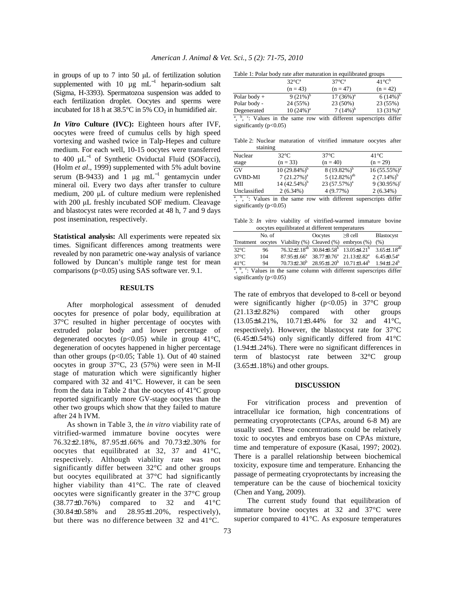in groups of up to 7 into 50 µL of fertilization solution supplemented with 10  $\mu$ g mL<sup>-1</sup> heparin-sodium salt (Sigma, H-3393). Spermatozoa suspension was added to each fertilization droplet. Oocytes and sperms were incubated for 18 h at 38.5°C in 5%  $CO<sub>2</sub>$  in humidified air.

*In Vitro* **Culture (IVC):** Eighteen hours after IVF, oocytes were freed of cumulus cells by high speed vortexing and washed twice in Talp-Hepes and culture medium. For each well, 10-15 oocytes were transferred to 400  $\mu L^{-1}$  of Synthetic Oviductal Fluid (SOFacci), (Holm *et al*., 1999) supplemented with 5% adult bovine serum (B-9433) and 1  $\mu$ g mL<sup>-1</sup> gentamycin under mineral oil. Every two days after transfer to culture medium, 200 µL of culture medium were replenished with 200 µL freshly incubated SOF medium. Cleavage and blastocyst rates were recorded at 48 h, 7 and 9 days post insemination, respectively.

**Statistical analysis:** All experiments were repeated six times. Significant differences among treatments were revealed by non parametric one-way analysis of variance followed by Duncan's multiple range test for mean comparisons  $(p<0.05)$  using SAS software ver. 9.1.

#### **RESULTS**

 After morphological assessment of denuded oocytes for presence of polar body, equilibration at 37°C resulted in higher percentage of oocytes with extruded polar body and lower percentage of degenerated oocytes ( $p<0.05$ ) while in group 41 $\degree$ C, degeneration of oocytes happened in higher percentage than other groups ( $p<0.05$ ; Table 1). Out of 40 stained oocytes in group 37°C, 23 (57%) were seen in M-II stage of maturation which were significantly higher compared with 32 and 41°C. However, it can be seen from the data in Table 2 that the oocytes of  $41^{\circ}$ C group reported significantly more GV-stage oocytes than the other two groups which show that they failed to mature after 24 h IVM.

 As shown in Table 3, the *in vitro* viability rate of vitrified-warmed immature bovine oocytes were 76.32±2.18%, 87.95±1.66% and 70.73±2.30% for oocytes that equilibrated at 32, 37 and 41°C, respectively. Although viability rate was not significantly differ between 32°C and other groups but oocytes equilibrated at 37°C had significantly higher viability than 41°C. The rate of cleaved oocytes were significantly greater in the 37°C group (38.77±0.76%) compared to 32 and 41°C (30.84±0.58% and 28.95±1.20%, respectively), but there was no difference between 32 and 41°C.

|  |  |  | Table 1: Polar body rate after maturation in equilibrated groups |  |
|--|--|--|------------------------------------------------------------------|--|
|  |  |  |                                                                  |  |

|                | Tuole 1. I oldi body lute anel maturation in equinolated groups |                   |                       |
|----------------|-----------------------------------------------------------------|-------------------|-----------------------|
|                | $32^{\circ}C^{\circ}$                                           | $37^{\circ}C^{a}$ | $41^{\circ}C^{\circ}$ |
|                | $(n = 43)$                                                      | $(n = 47)$        | $(n = 42)$            |
| Polar body $+$ | 9 $(21\%)^b$                                                    | $17(36\%)^a$      | $6(14\%)^b$           |
| Polar body -   | 24 (55%)                                                        | 23 (50%)          | 23 (55%)              |
| Degenerated    | $10(24%)^a$                                                     | 7 $(14\%)^b$      | 13 $(31\%)^a$         |

<sup>a</sup>, <sup>b</sup>, <sup>c</sup>: Values in the same row with different superscripts differ significantly  $(p<0.05)$ 

Table 2: Nuclear maturation of vitrified immature oocytes after staining

| Nuclear        | $32^{\circ}$ C   | $37^{\circ}$ C    | $41^{\circ}$ C  |
|----------------|------------------|-------------------|-----------------|
| stage          | $(n = 33)$       | $(n = 40)$        | $(n = 29)$      |
| GV             | $10(29.84\%)^b$  | $8(19.82\%)^b$    | $16(55.55\%)^a$ |
| <b>GVBD-MI</b> | $7(21.27%)^a$    | $5(12.82\%)^{ab}$ | $2(7.14\%)^b$   |
| MП             | 14 $(42.54\%)^b$ | $23(57.57\%)^a$   | 9 $(30.95\%)^c$ |
| Unclassified   | $2(6.34\%)$      | 4(9.77%)          | $2(6.34\%)$     |

<sup>a</sup>, <sup>b</sup>, <sup>c</sup>: Values in the same row with different superscripts differ significantly  $(p<0.05)$ 

Table 3: *In vitro* viability of vitrified-warmed immature bovine oocytes equilibrated at different temperatures

|                                                                                                           | No. of |  | <b>O</b> ocytes                                                                 | $>8$ cell<br>Treatment oocytes Viability $(\%)$ Cleaved $(\%)$ embryos $(\%)$ (%) | <b>Blastocyst</b>            |  |
|-----------------------------------------------------------------------------------------------------------|--------|--|---------------------------------------------------------------------------------|-----------------------------------------------------------------------------------|------------------------------|--|
|                                                                                                           |        |  |                                                                                 |                                                                                   |                              |  |
| $32^{\circ}$ C                                                                                            | 96     |  | $76.32\pm2.18^{ab}$ 30.84 $\pm$ 0.58 <sup>b</sup> 13.05 $\pm$ 4.21 <sup>b</sup> |                                                                                   | $3.65 \pm 1.18^{ab}$         |  |
| $37^{\circ}$ C                                                                                            | 104    |  |                                                                                 | $87.95 \pm 1.66^a$ $38.77 \pm 0.76^a$ $21.13 \pm 2.82^a$                          | $6.45 \pm 0.54$ <sup>a</sup> |  |
| $41^{\circ}$ C                                                                                            | 94     |  | $70.73\pm2.30^b$ $28.95\pm1.20^b$ $10.71\pm3.44^b$                              |                                                                                   | $194+124^b$                  |  |
| <sup>a</sup> , <sup>b</sup> , <sup>c</sup> : Values in the same column with different superscripts differ |        |  |                                                                                 |                                                                                   |                              |  |
|                                                                                                           |        |  |                                                                                 |                                                                                   |                              |  |

significantly (p<0.05)

The rate of embryos that developed to 8-cell or beyond were significantly higher ( $p<0.05$ ) in 37°C group (21.13±2.82%) compared with other groups (13.05±4.21%, 10.71±3.44% for 32 and 41°C, respectively). However, the blastocyst rate for 37°C (6.45±0.54%) only significantly differed from 41°C (1.94±1.24%). There were no significant differences in term of blastocyst rate between 32°C group (3.65±1.18%) and other groups.

#### **DISCUSSION**

 For vitrification process and prevention of intracellular ice formation, high concentrations of permeating cryoprotectants (CPAs, around 6-8 M) are usually used. These concentrations could be relatively toxic to oocytes and embryos base on CPAs mixture, time and temperature of exposure (Kasai, 1997; 2002). There is a parallel relationship between biochemical toxicity, exposure time and temperature. Enhancing the passage of permeating cryoprotectants by increasing the temperature can be the cause of biochemical toxicity (Chen and Yang, 2009).

 The current study found that equilibration of immature bovine oocytes at 32 and 37°C were superior compared to 41°C. As exposure temperatures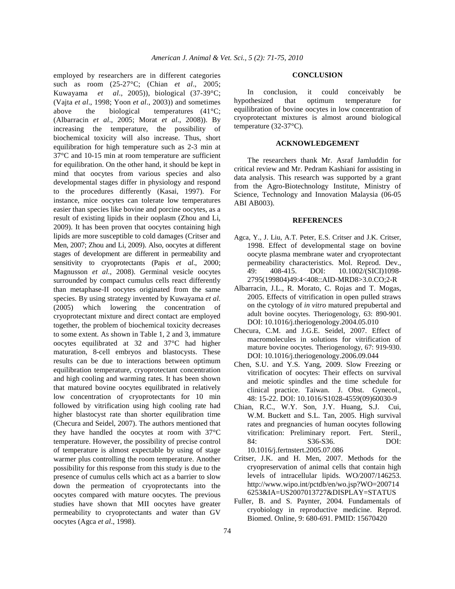employed by researchers are in different categories such as room (25-27°C; (Chian *et al*., 2005; Kuwayama *et al*., 2005)), biological (37-39°C; (Vajta *et al*., 1998; Yoon *et al*., 2003)) and sometimes above the biological temperatures (41°C; (Albarracin *et al*., 2005; Morat *et al*., 2008)). By increasing the temperature, the possibility of biochemical toxicity will also increase. Thus, short equilibration for high temperature such as 2-3 min at 37°C and 10-15 min at room temperature are sufficient for equilibration. On the other hand, it should be kept in mind that oocytes from various species and also developmental stages differ in physiology and respond to the procedures differently (Kasai, 1997). For instance, mice oocytes can tolerate low temperatures easier than species like bovine and porcine oocytes, as a result of existing lipids in their ooplasm (Zhou and Li, 2009). It has been proven that oocytes containing high lipids are more susceptible to cold damages (Critser and Men, 2007; Zhou and Li, 2009). Also, oocytes at different stages of development are different in permeability and sensitivity to cryoprotectants (Papis *et al*., 2000; Magnusson *et al*., 2008). Germinal vesicle oocytes surrounded by compact cumulus cells react differently than metaphase-II oocytes originated from the same species. By using strategy invented by Kuwayama *et al*. (2005) which lowering the concentration of cryoprotectant mixture and direct contact are employed together, the problem of biochemical toxicity decreases to some extent. As shown in Table 1, 2 and 3, immature oocytes equilibrated at 32 and 37°C had higher maturation, 8-cell embryos and blastocysts. These results can be due to interactions between optimum equilibration temperature, cryoprotectant concentration and high cooling and warming rates. It has been shown that matured bovine oocytes equilibrated in relatively low concentration of cryoprotectants for 10 min followed by vitrification using high cooling rate had higher blastocyst rate than shorter equilibration time (Checura and Seidel, 2007). The authors mentioned that they have handled the oocytes at room with 37°C temperature. However, the possibility of precise control of temperature is almost expectable by using of stage warmer plus controlling the room temperature. Another possibility for this response from this study is due to the presence of cumulus cells which act as a barrier to slow down the permeation of cryoprotectants into the oocytes compared with mature oocytes. The previous studies have shown that MII oocytes have greater permeability to cryoprotectants and water than GV oocytes (Agca *et al*., 1998).

#### **CONCLUSION**

 In conclusion, it could conceivably be hypothesized that optimum temperature for equilibration of bovine oocytes in low concentration of cryoprotectant mixtures is almost around biological temperature (32-37°C).

### **ACKNOWLEDGEMENT**

 The researchers thank Mr. Asraf Jamluddin for critical review and Mr. Pedram Kashiani for assisting in data analysis. This research was supported by a grant from the Agro-Biotechnology Institute, Ministry of Science, Technology and Innovation Malaysia (06-05 ABI AB003).

## **REFERENCES**

- Agca, Y., J. Liu, A.T. Peter, E.S. Critser and J.K. Critser, 1998. Effect of developmental stage on bovine oocyte plasma membrane water and cryoprotectant permeability characteristics. Mol. Reprod. Dev., 49: 408-415. DOI: 10.1002/(SICI)1098- 2795(199804)49:4<408::AID-MRD8>3.0.CO;2-R
- Albarracin, J.L., R. Morato, C. Rojas and T. Mogas, 2005. Effects of vitrification in open pulled straws on the cytology of *in vitro* matured prepubertal and adult bovine oocytes. Theriogenology, 63: 890-901. DOI: 10.1016/j.theriogenology.2004.05.010
- Checura, C.M. and J.G.E. Seidel, 2007. Effect of macromolecules in solutions for vitrification of mature bovine oocytes. Theriogenology, 67: 919-930. DOI: 10.1016/j.theriogenology.2006.09.044
- Chen, S.U. and Y.S. Yang, 2009. Slow Freezing or vitrification of oocytes: Their effects on survival and meiotic spindles and the time schedule for clinical practice. Taiwan. J. Obst. Gynecol., 48: 15-22. DOI: 10.1016/S1028-4559(09)60030-9
- Chian, R.C., W.Y. Son, J.Y. Huang, S.J. Cui, W.M. Buckett and S.L. Tan, 2005. High survival rates and pregnancies of human oocytes following vitrification: Preliminary report. Fert. Steril., 84: S36-S36. DOI: 10.1016/j.fertnstert.2005.07.086
- Critser, J.K. and H. Men, 2007. Methods for the cryopreservation of animal cells that contain high levels of intracellular lipids. WO/2007/146253. http://www.wipo.int/pctdb/en/wo.jsp?WO=200714 6253&IA=US2007013727&DISPLAY=STATUS
- Fuller, B. and S. Paynter, 2004. Fundamentals of cryobiology in reproductive medicine. Reprod. Biomed. Online, 9: 680-691. PMID: 15670420